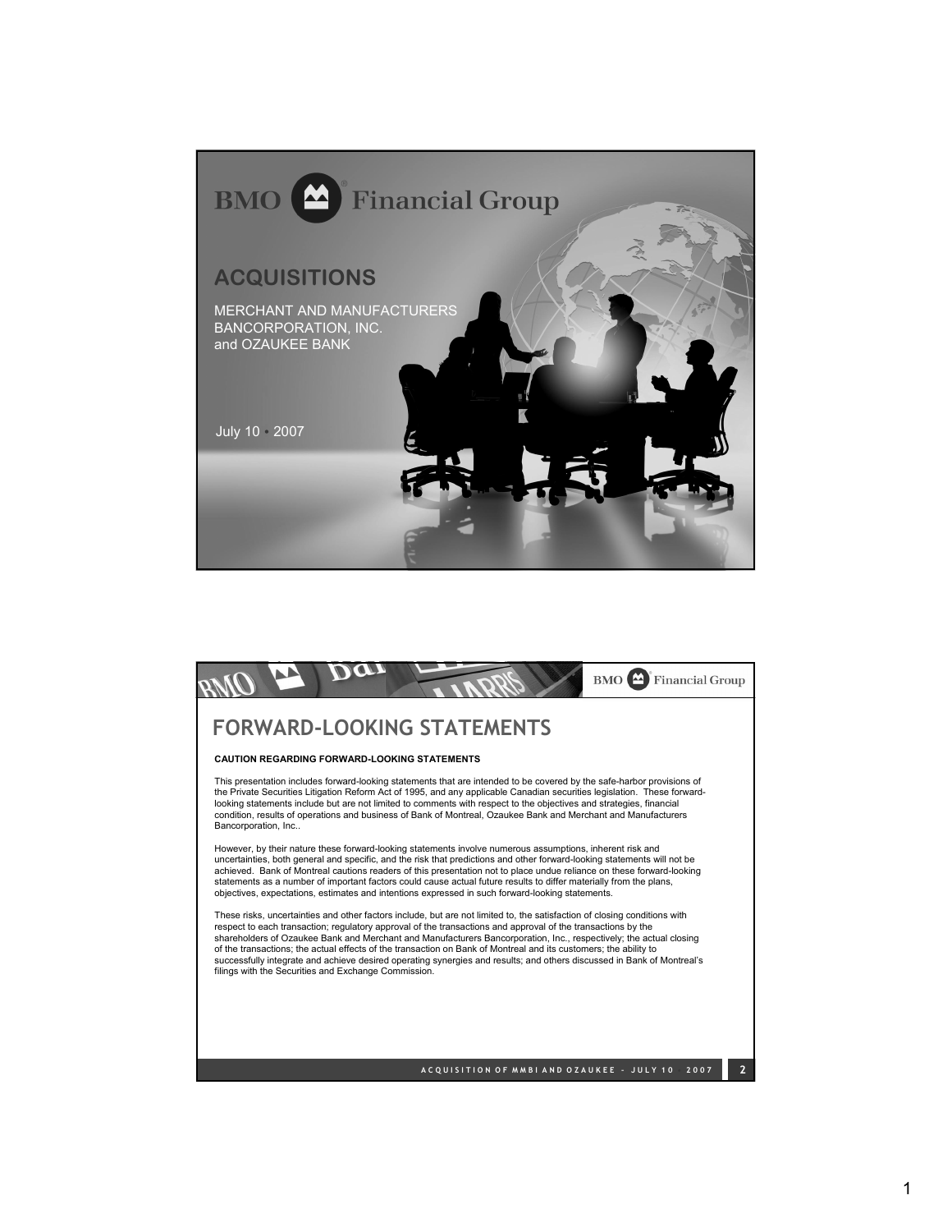

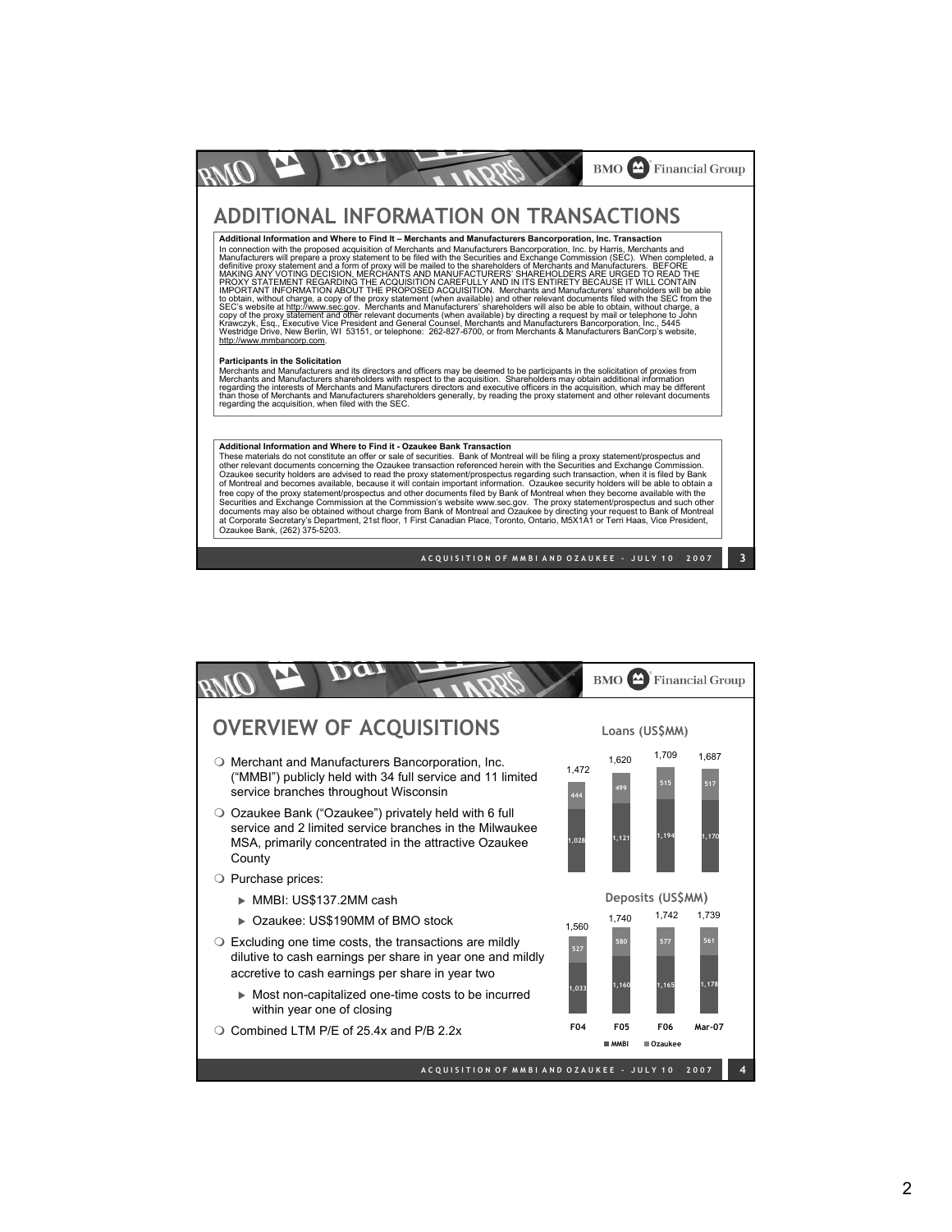

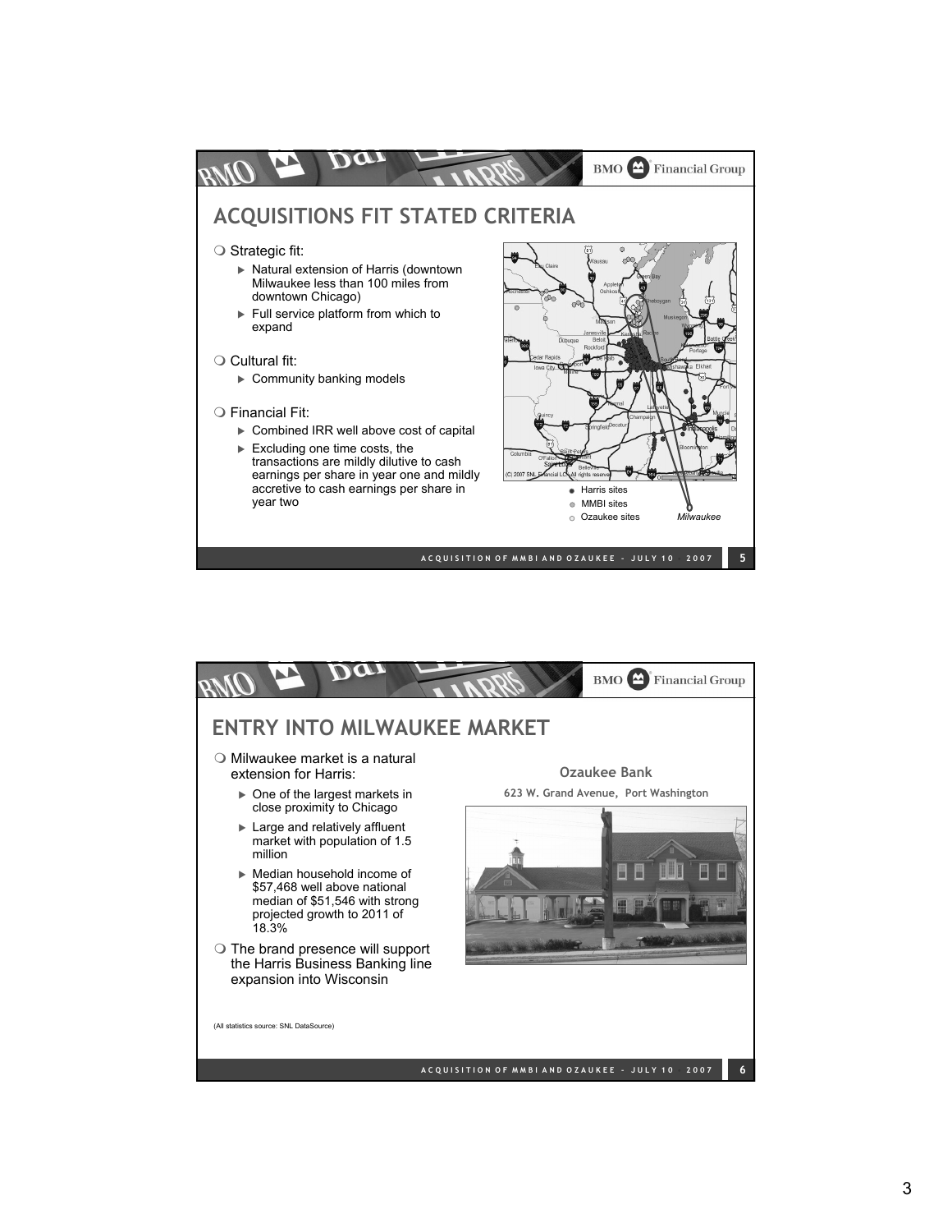

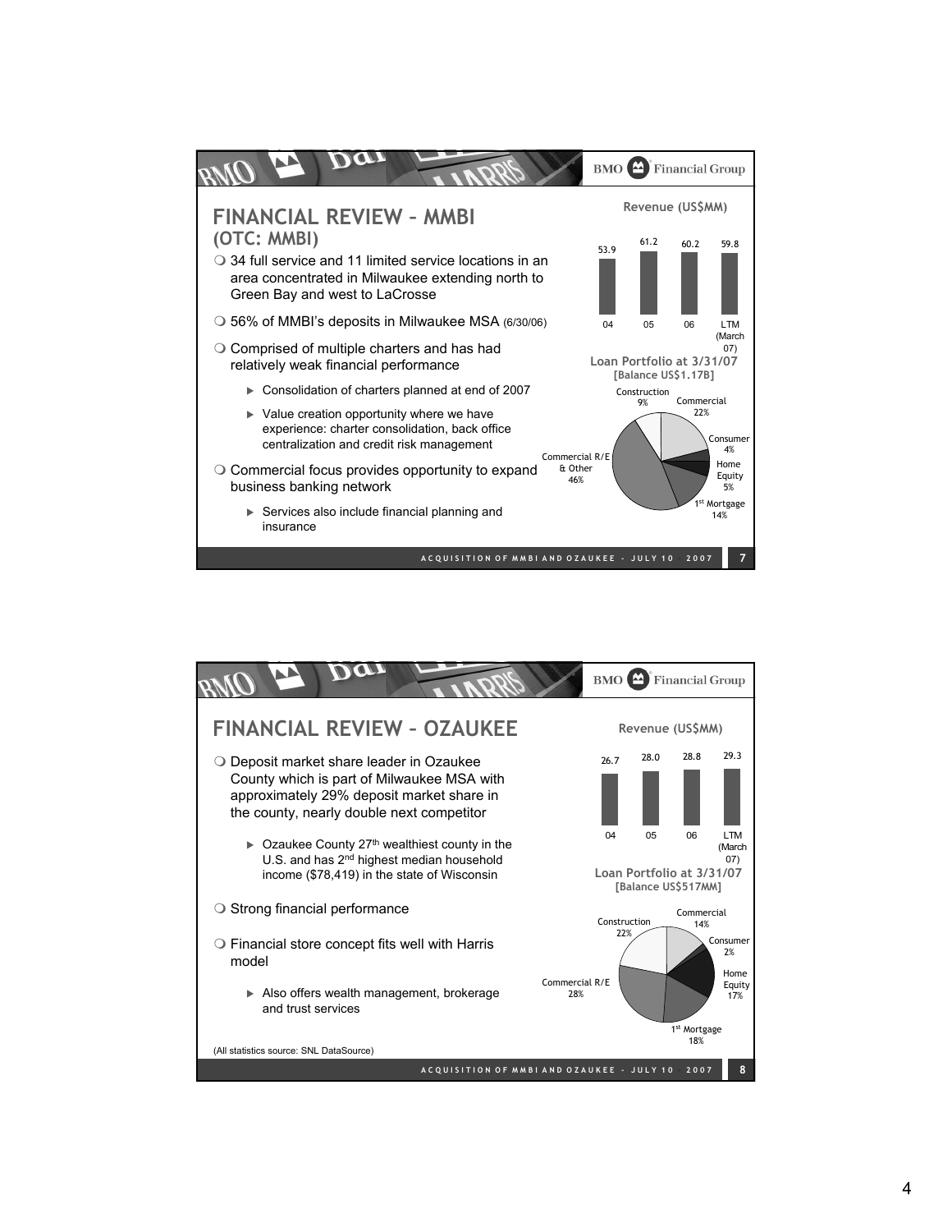